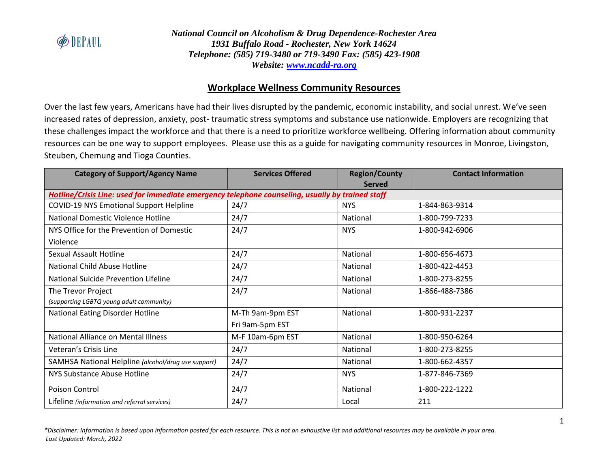

# **Workplace Wellness Community Resources**

Over the last few years, Americans have had their lives disrupted by the pandemic, economic instability, and social unrest. We've seen increased rates of depression, anxiety, post- traumatic stress symptoms and substance use nationwide. Employers are recognizing that these challenges impact the workforce and that there is a need to prioritize workforce wellbeing. Offering information about community resources can be one way to support employees. Please use this as a guide for navigating community resources in Monroe, Livingston, Steuben, Chemung and Tioga Counties.

| <b>Category of Support/Agency Name</b>                                                           | <b>Services Offered</b> | <b>Region/County</b> | <b>Contact Information</b> |  |
|--------------------------------------------------------------------------------------------------|-------------------------|----------------------|----------------------------|--|
|                                                                                                  |                         | <b>Served</b>        |                            |  |
| Hotline/Crisis Line: used for immediate emergency telephone counseling, usually by trained staff |                         |                      |                            |  |
| <b>COVID-19 NYS Emotional Support Helpline</b>                                                   | 24/7                    | <b>NYS</b>           | 1-844-863-9314             |  |
| National Domestic Violence Hotline                                                               | 24/7                    | National             | 1-800-799-7233             |  |
| NYS Office for the Prevention of Domestic                                                        | 24/7                    | <b>NYS</b>           | 1-800-942-6906             |  |
| Violence                                                                                         |                         |                      |                            |  |
| Sexual Assault Hotline                                                                           | 24/7                    | National             | 1-800-656-4673             |  |
| National Child Abuse Hotline                                                                     | 24/7                    | National             | 1-800-422-4453             |  |
| <b>National Suicide Prevention Lifeline</b>                                                      | 24/7                    | National             | 1-800-273-8255             |  |
| The Trevor Project                                                                               | 24/7                    | National             | 1-866-488-7386             |  |
| (supporting LGBTQ young adult community)                                                         |                         |                      |                            |  |
| National Eating Disorder Hotline                                                                 | M-Th 9am-9pm EST        | National             | 1-800-931-2237             |  |
|                                                                                                  | Fri 9am-5pm EST         |                      |                            |  |
| <b>National Alliance on Mental Illness</b>                                                       | M-F 10am-6pm EST        | National             | 1-800-950-6264             |  |
| Veteran's Crisis Line                                                                            | 24/7                    | National             | 1-800-273-8255             |  |
| SAMHSA National Helpline (alcohol/drug use support)                                              | 24/7                    | National             | 1-800-662-4357             |  |
| NYS Substance Abuse Hotline                                                                      | 24/7                    | <b>NYS</b>           | 1-877-846-7369             |  |
| Poison Control                                                                                   | 24/7                    | National             | 1-800-222-1222             |  |
| Lifeline (information and referral services)                                                     | 24/7                    | Local                | 211                        |  |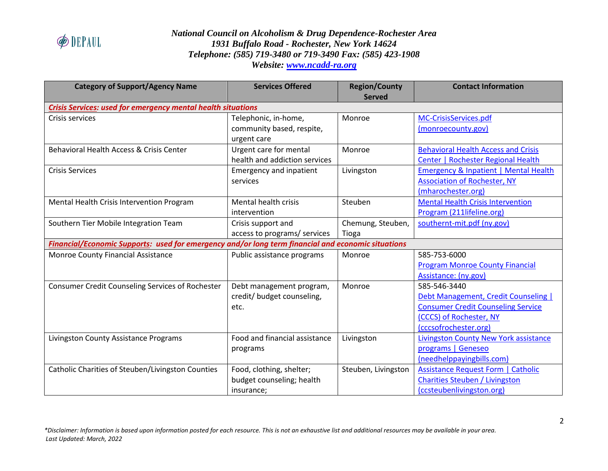

| <b>Category of Support/Agency Name</b>                                                             | <b>Services Offered</b>        | <b>Region/County</b><br><b>Served</b> | <b>Contact Information</b>                   |
|----------------------------------------------------------------------------------------------------|--------------------------------|---------------------------------------|----------------------------------------------|
| Crisis Services: used for emergency mental health situations                                       |                                |                                       |                                              |
| Crisis services                                                                                    | Telephonic, in-home,           | Monroe                                | MC-CrisisServices.pdf                        |
|                                                                                                    | community based, respite,      |                                       | (monroecounty.gov)                           |
|                                                                                                    | urgent care                    |                                       |                                              |
| Behavioral Health Access & Crisis Center                                                           | Urgent care for mental         | Monroe                                | <b>Behavioral Health Access and Crisis</b>   |
|                                                                                                    | health and addiction services  |                                       | Center   Rochester Regional Health           |
| <b>Crisis Services</b>                                                                             | <b>Emergency and inpatient</b> | Livingston                            | Emergency & Inpatient   Mental Health        |
|                                                                                                    | services                       |                                       | <b>Association of Rochester, NY</b>          |
|                                                                                                    |                                |                                       | (mharochester.org)                           |
| Mental Health Crisis Intervention Program                                                          | <b>Mental health crisis</b>    | Steuben                               | <b>Mental Health Crisis Intervention</b>     |
|                                                                                                    | intervention                   |                                       | Program (211lifeline.org)                    |
| Southern Tier Mobile Integration Team                                                              | Crisis support and             | Chemung, Steuben,                     | southernt-mit.pdf (ny.gov)                   |
|                                                                                                    | access to programs/ services   | Tioga                                 |                                              |
| Financial/Economic Supports: used for emergency and/or long term financial and economic situations |                                |                                       |                                              |
| Monroe County Financial Assistance                                                                 | Public assistance programs     | Monroe                                | 585-753-6000                                 |
|                                                                                                    |                                |                                       | <b>Program Monroe County Financial</b>       |
|                                                                                                    |                                |                                       | Assistance: (ny.gov)                         |
| <b>Consumer Credit Counseling Services of Rochester</b>                                            | Debt management program,       | Monroe                                | 585-546-3440                                 |
|                                                                                                    | credit/ budget counseling,     |                                       | Debt Management, Credit Counseling           |
|                                                                                                    | etc.                           |                                       | <b>Consumer Credit Counseling Service</b>    |
|                                                                                                    |                                |                                       | (CCCS) of Rochester, NY                      |
|                                                                                                    |                                |                                       | (cccsofrochester.org)                        |
| Livingston County Assistance Programs                                                              | Food and financial assistance  | Livingston                            | <b>Livingston County New York assistance</b> |
|                                                                                                    | programs                       |                                       | programs   Geneseo                           |
|                                                                                                    |                                |                                       | (needhelppayingbills.com)                    |
| Catholic Charities of Steuben/Livingston Counties                                                  | Food, clothing, shelter;       | Steuben, Livingston                   | <b>Assistance Request Form   Catholic</b>    |
|                                                                                                    | budget counseling; health      |                                       | <b>Charities Steuben / Livingston</b>        |
|                                                                                                    | insurance;                     |                                       | (ccsteubenlivingston.org)                    |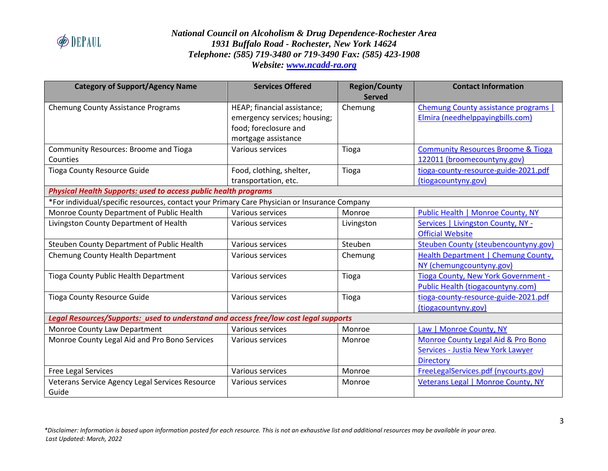

| <b>Category of Support/Agency Name</b>                                                       | <b>Services Offered</b>      | <b>Region/County</b> | <b>Contact Information</b>                    |  |
|----------------------------------------------------------------------------------------------|------------------------------|----------------------|-----------------------------------------------|--|
|                                                                                              |                              | <b>Served</b>        |                                               |  |
| Chemung County Assistance Programs                                                           | HEAP; financial assistance;  | Chemung              | Chemung County assistance programs            |  |
|                                                                                              | emergency services; housing; |                      | Elmira (needhelppayingbills.com)              |  |
|                                                                                              | food; foreclosure and        |                      |                                               |  |
|                                                                                              | mortgage assistance          |                      |                                               |  |
| Community Resources: Broome and Tioga                                                        | Various services             | Tioga                | <b>Community Resources Broome &amp; Tioga</b> |  |
| Counties                                                                                     |                              |                      | 122011 (broomecountyny.gov)                   |  |
| <b>Tioga County Resource Guide</b>                                                           | Food, clothing, shelter,     | Tioga                | tioga-county-resource-guide-2021.pdf          |  |
|                                                                                              | transportation, etc.         |                      | (tiogacountyny.gov)                           |  |
| <b>Physical Health Supports: used to access public health programs</b>                       |                              |                      |                                               |  |
| *For individual/specific resources, contact your Primary Care Physician or Insurance Company |                              |                      |                                               |  |
| Monroe County Department of Public Health                                                    | Various services             | Monroe               | Public Health   Monroe County, NY             |  |
| Livingston County Department of Health                                                       | Various services             | Livingston           | Services   Livingston County, NY -            |  |
|                                                                                              |                              |                      | <b>Official Website</b>                       |  |
| Steuben County Department of Public Health                                                   | Various services             | Steuben              | Steuben County (steubencountyny.gov)          |  |
| Chemung County Health Department                                                             | Various services             | Chemung              | Health Department   Chemung County,           |  |
|                                                                                              |                              |                      | NY (chemungcountyny.gov)                      |  |
| Tioga County Public Health Department                                                        | Various services             | Tioga                | Tioga County, New York Government -           |  |
|                                                                                              |                              |                      | Public Health (tiogacountyny.com)             |  |
| <b>Tioga County Resource Guide</b>                                                           | Various services             | Tioga                | tioga-county-resource-guide-2021.pdf          |  |
|                                                                                              |                              |                      | (tiogacountyny.gov)                           |  |
| Legal Resources/Supports: used to understand and access free/low cost legal supports         |                              |                      |                                               |  |
| Monroe County Law Department                                                                 | Various services             | Monroe               | Law   Monroe County, NY                       |  |
| Monroe County Legal Aid and Pro Bono Services                                                | Various services             | Monroe               | Monroe County Legal Aid & Pro Bono            |  |
|                                                                                              |                              |                      | Services - Justia New York Lawyer             |  |
|                                                                                              |                              |                      | <b>Directory</b>                              |  |
| Free Legal Services                                                                          | Various services             | Monroe               | FreeLegalServices.pdf (nycourts.gov)          |  |
| Veterans Service Agency Legal Services Resource                                              | Various services             | Monroe               | Veterans Legal   Monroe County, NY            |  |
| Guide                                                                                        |                              |                      |                                               |  |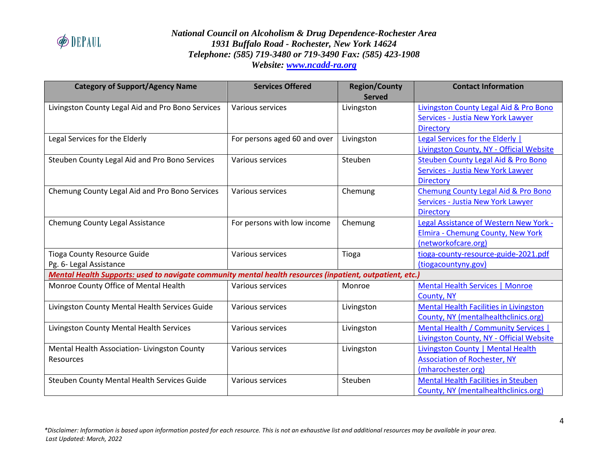

| <b>Category of Support/Agency Name</b>                                                                   | <b>Services Offered</b>      | <b>Region/County</b><br><b>Served</b> | <b>Contact Information</b>                    |  |
|----------------------------------------------------------------------------------------------------------|------------------------------|---------------------------------------|-----------------------------------------------|--|
| Livingston County Legal Aid and Pro Bono Services                                                        | Various services             | Livingston                            | Livingston County Legal Aid & Pro Bono        |  |
|                                                                                                          |                              |                                       | <b>Services - Justia New York Lawyer</b>      |  |
|                                                                                                          |                              |                                       | <b>Directory</b>                              |  |
| Legal Services for the Elderly                                                                           | For persons aged 60 and over | Livingston                            | Legal Services for the Elderly                |  |
|                                                                                                          |                              |                                       | Livingston County, NY - Official Website      |  |
| Steuben County Legal Aid and Pro Bono Services                                                           | Various services             | Steuben                               | Steuben County Legal Aid & Pro Bono           |  |
|                                                                                                          |                              |                                       | Services - Justia New York Lawyer             |  |
|                                                                                                          |                              |                                       | Directory                                     |  |
| Chemung County Legal Aid and Pro Bono Services                                                           | Various services             | Chemung                               | Chemung County Legal Aid & Pro Bono           |  |
|                                                                                                          |                              |                                       | Services - Justia New York Lawyer             |  |
|                                                                                                          |                              |                                       | <b>Directory</b>                              |  |
| Chemung County Legal Assistance                                                                          | For persons with low income  | Chemung                               | Legal Assistance of Western New York -        |  |
|                                                                                                          |                              |                                       | Elmira - Chemung County, New York             |  |
|                                                                                                          |                              |                                       | (networkofcare.org)                           |  |
| <b>Tioga County Resource Guide</b>                                                                       | Various services             | Tioga                                 | tioga-county-resource-guide-2021.pdf          |  |
| Pg. 6- Legal Assistance                                                                                  |                              |                                       | (tiogacountyny.gov)                           |  |
| Mental Health Supports: used to navigate community mental health resources (inpatient, outpatient, etc.) |                              |                                       |                                               |  |
| Monroe County Office of Mental Health                                                                    | Various services             | Monroe                                | Mental Health Services   Monroe               |  |
|                                                                                                          |                              |                                       | County, NY                                    |  |
| Livingston County Mental Health Services Guide                                                           | Various services             | Livingston                            | <b>Mental Health Facilities in Livingston</b> |  |
|                                                                                                          |                              |                                       | County, NY (mentalhealthclinics.org)          |  |
| Livingston County Mental Health Services                                                                 | Various services             | Livingston                            | Mental Health / Community Services            |  |
|                                                                                                          |                              |                                       | Livingston County, NY - Official Website      |  |
| Mental Health Association-Livingston County                                                              | Various services             | Livingston                            | Livingston County   Mental Health             |  |
| Resources                                                                                                |                              |                                       | <b>Association of Rochester, NY</b>           |  |
|                                                                                                          |                              |                                       | (mharochester.org)                            |  |
| Steuben County Mental Health Services Guide                                                              | Various services             | Steuben                               | <b>Mental Health Facilities in Steuben</b>    |  |
|                                                                                                          |                              |                                       | County, NY (mentalhealthclinics.org)          |  |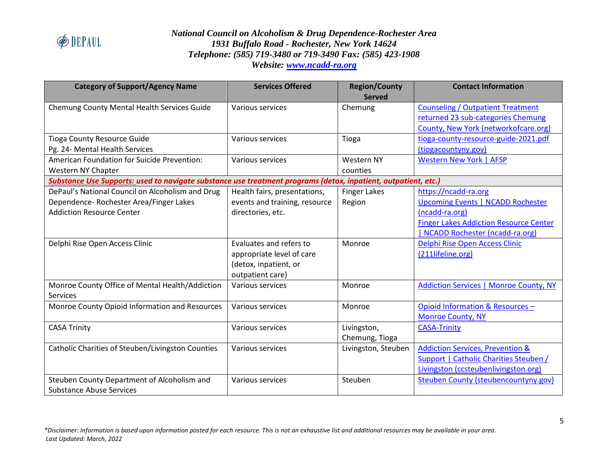

| <b>Category of Support/Agency Name</b>                                                                                          | <b>Services Offered</b>                                                                           | <b>Region/County</b><br><b>Served</b> | <b>Contact Information</b>                                                                                                                                            |
|---------------------------------------------------------------------------------------------------------------------------------|---------------------------------------------------------------------------------------------------|---------------------------------------|-----------------------------------------------------------------------------------------------------------------------------------------------------------------------|
| Chemung County Mental Health Services Guide                                                                                     | Various services                                                                                  | Chemung                               | <b>Counseling / Outpatient Treatment</b><br>returned 23 sub-categories Chemung<br>County, New York (networkofcare.org)                                                |
| <b>Tioga County Resource Guide</b><br>Pg. 24- Mental Health Services                                                            | Various services                                                                                  | Tioga                                 | tioga-county-resource-guide-2021.pdf<br>(tiogacountyny.gov)                                                                                                           |
| American Foundation for Suicide Prevention:<br>Western NY Chapter                                                               | Various services                                                                                  | <b>Western NY</b><br>counties         | <b>Western New York   AFSP</b>                                                                                                                                        |
| Substance Use Supports: used to navigate substance use treatment programs (detox, inpatient, outpatient, etc.)                  |                                                                                                   |                                       |                                                                                                                                                                       |
| DePaul's National Council on Alcoholism and Drug<br>Dependence- Rochester Area/Finger Lakes<br><b>Addiction Resource Center</b> | Health fairs, presentations,<br>events and training, resource<br>directories, etc.                | <b>Finger Lakes</b><br>Region         | https://ncadd-ra.org<br><b>Upcoming Events   NCADD Rochester</b><br>(ncadd-ra.org)<br><b>Finger Lakes Addiction Resource Center</b><br>NCADD Rochester (ncadd-ra.org) |
| Delphi Rise Open Access Clinic                                                                                                  | Evaluates and refers to<br>appropriate level of care<br>(detox, inpatient, or<br>outpatient care) | Monroe                                | Delphi Rise Open Access Clinic<br>(211lifeline.org)                                                                                                                   |
| Monroe County Office of Mental Health/Addiction<br><b>Services</b>                                                              | Various services                                                                                  | Monroe                                | <b>Addiction Services   Monroe County, NY</b>                                                                                                                         |
| Monroe County Opioid Information and Resources                                                                                  | Various services                                                                                  | Monroe                                | Opioid Information & Resources -<br><b>Monroe County, NY</b>                                                                                                          |
| <b>CASA Trinity</b>                                                                                                             | Various services                                                                                  | Livingston,<br>Chemung, Tioga         | <b>CASA-Trinity</b>                                                                                                                                                   |
| Catholic Charities of Steuben/Livingston Counties                                                                               | Various services                                                                                  | Livingston, Steuben                   | <b>Addiction Services, Prevention &amp;</b><br><b>Support   Catholic Charities Steuben /</b><br>Livingston (ccsteubenlivingston.org)                                  |
| Steuben County Department of Alcoholism and<br><b>Substance Abuse Services</b>                                                  | Various services                                                                                  | Steuben                               | Steuben County (steubencountyny.gov)                                                                                                                                  |